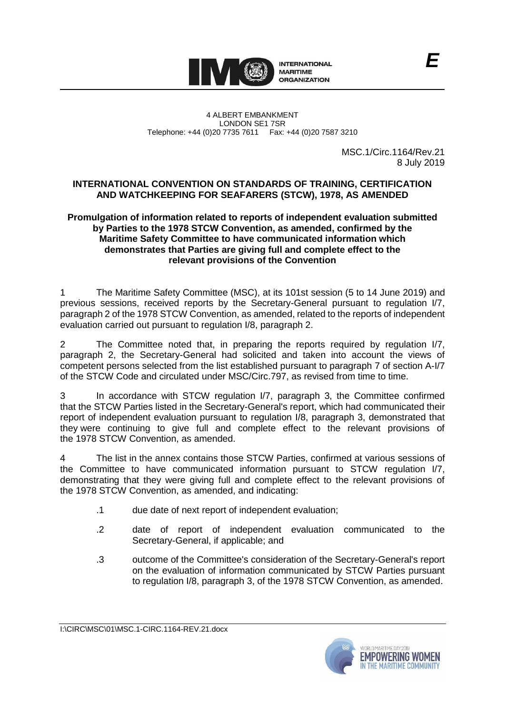

MSC.1/Circ.1164/Rev.21 8 July 2019

## **INTERNATIONAL CONVENTION ON STANDARDS OF TRAINING, CERTIFICATION AND WATCHKEEPING FOR SEAFARERS (STCW), 1978, AS AMENDED**

## **Promulgation of information related to reports of independent evaluation submitted by Parties to the 1978 STCW Convention, as amended, confirmed by the Maritime Safety Committee to have communicated information which demonstrates that Parties are giving full and complete effect to the relevant provisions of the Convention**

1 The Maritime Safety Committee (MSC), at its 101st session (5 to 14 June 2019) and previous sessions, received reports by the Secretary-General pursuant to regulation I/7, paragraph 2 of the 1978 STCW Convention, as amended, related to the reports of independent evaluation carried out pursuant to regulation I/8, paragraph 2.

2 The Committee noted that, in preparing the reports required by regulation I/7, paragraph 2, the Secretary-General had solicited and taken into account the views of competent persons selected from the list established pursuant to paragraph 7 of section A-I/7 of the STCW Code and circulated under MSC/Circ.797, as revised from time to time.

3 In accordance with STCW regulation I/7, paragraph 3, the Committee confirmed that the STCW Parties listed in the Secretary-General's report, which had communicated their report of independent evaluation pursuant to regulation I/8, paragraph 3, demonstrated that they were continuing to give full and complete effect to the relevant provisions of the 1978 STCW Convention, as amended.

4 The list in the annex contains those STCW Parties, confirmed at various sessions of the Committee to have communicated information pursuant to STCW regulation I/7, demonstrating that they were giving full and complete effect to the relevant provisions of the 1978 STCW Convention, as amended, and indicating:

- .1 due date of next report of independent evaluation;
- .2 date of report of independent evaluation communicated to the Secretary-General, if applicable; and
- .3 outcome of the Committee's consideration of the Secretary-General's report on the evaluation of information communicated by STCW Parties pursuant to regulation I/8, paragraph 3, of the 1978 STCW Convention, as amended.

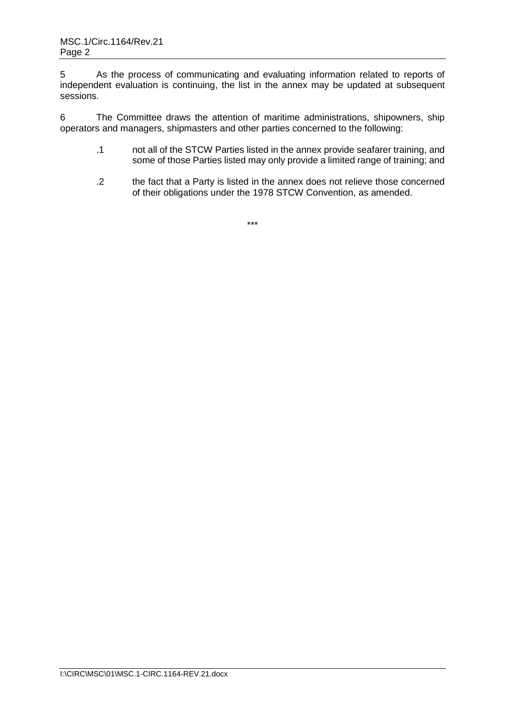5 As the process of communicating and evaluating information related to reports of independent evaluation is continuing, the list in the annex may be updated at subsequent sessions.

6 The Committee draws the attention of maritime administrations, shipowners, ship operators and managers, shipmasters and other parties concerned to the following:

- .1 not all of the STCW Parties listed in the annex provide seafarer training, and some of those Parties listed may only provide a limited range of training; and
- .2 the fact that a Party is listed in the annex does not relieve those concerned of their obligations under the 1978 STCW Convention, as amended.

\*\*\*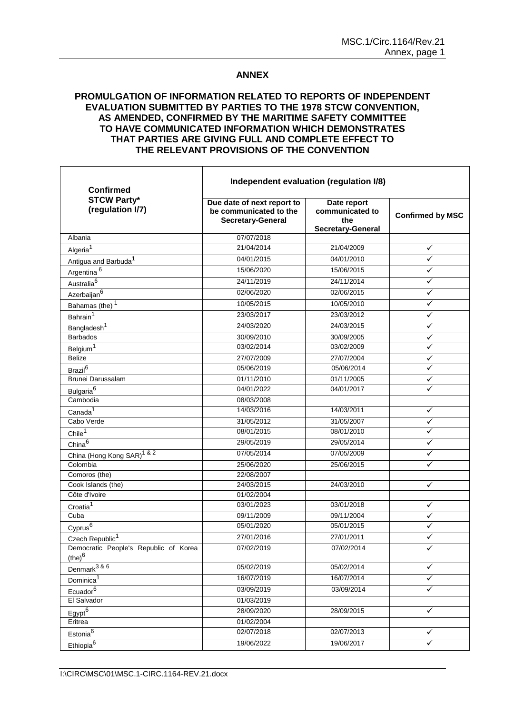## **ANNEX**

## **PROMULGATION OF INFORMATION RELATED TO REPORTS OF INDEPENDENT EVALUATION SUBMITTED BY PARTIES TO THE 1978 STCW CONVENTION, AS AMENDED, CONFIRMED BY THE MARITIME SAFETY COMMITTEE TO HAVE COMMUNICATED INFORMATION WHICH DEMONSTRATES THAT PARTIES ARE GIVING FULL AND COMPLETE EFFECT TO THE RELEVANT PROVISIONS OF THE CONVENTION**

| <b>Confirmed</b><br><b>STCW Party*</b><br>(regulation I/7) | Independent evaluation (regulation I/8)                                          |                                                                   |                         |
|------------------------------------------------------------|----------------------------------------------------------------------------------|-------------------------------------------------------------------|-------------------------|
|                                                            | Due date of next report to<br>be communicated to the<br><b>Secretary-General</b> | Date report<br>communicated to<br>the<br><b>Secretary-General</b> | <b>Confirmed by MSC</b> |
| Albania                                                    | 07/07/2018                                                                       |                                                                   |                         |
| Algeria <sup>1</sup>                                       | 21/04/2014                                                                       | 21/04/2009                                                        | ✓                       |
| Antigua and Barbuda <sup>1</sup>                           | 04/01/2015                                                                       | 04/01/2010                                                        | ✓                       |
| Argentina <sup>6</sup>                                     | 15/06/2020                                                                       | 15/06/2015                                                        | ✓                       |
| Australia <sup>6</sup>                                     | 24/11/2019                                                                       | 24/11/2014                                                        |                         |
| Azerbaijan <sup>6</sup>                                    | 02/06/2020                                                                       | 02/06/2015                                                        | ✓                       |
| Bahamas (the) <sup>1</sup>                                 | 10/05/2015                                                                       | 10/05/2010                                                        | ✓                       |
| Bahrain <sup>1</sup>                                       | 23/03/2017                                                                       | 23/03/2012                                                        | ✓                       |
| Bangladesh <sup>1</sup>                                    | 24/03/2020                                                                       | 24/03/2015                                                        | ✓                       |
| <b>Barbados</b>                                            | 30/09/2010                                                                       | 30/09/2005                                                        | ✓                       |
| Belgium <sup>1</sup>                                       | 03/02/2014                                                                       | 03/02/2009                                                        |                         |
| Belize                                                     | 27/07/2009                                                                       | 27/07/2004                                                        | ✓                       |
| Brazil <sup>6</sup>                                        | 05/06/2019                                                                       | 05/06/2014                                                        |                         |
| Brunei Darussalam                                          | 01/11/2010                                                                       | 01/11/2005                                                        |                         |
| Bulgaria <sup>6</sup>                                      | 04/01/2022                                                                       | 04/01/2017                                                        |                         |
| Cambodia                                                   | 08/03/2008                                                                       |                                                                   |                         |
| Canada <sup>1</sup>                                        | 14/03/2016                                                                       | 14/03/2011                                                        | ✓                       |
| Cabo Verde                                                 | 31/05/2012                                                                       | 31/05/2007                                                        | ✓                       |
| Chile <sup>1</sup>                                         | 08/01/2015                                                                       | 08/01/2010                                                        | ✓                       |
| China $\overline{6}$                                       | 29/05/2019                                                                       | 29/05/2014                                                        | ✓                       |
| China (Hong Kong SAR) <sup>1 &amp; 2</sup>                 | 07/05/2014                                                                       | 07/05/2009                                                        | ✓                       |
| Colombia                                                   | 25/06/2020                                                                       | 25/06/2015                                                        | ✓                       |
| Comoros (the)                                              | 22/08/2007                                                                       |                                                                   |                         |
| Cook Islands (the)                                         | 24/03/2015                                                                       | 24/03/2010                                                        | ✓                       |
| Côte d'Ivoire                                              | 01/02/2004                                                                       |                                                                   |                         |
| Croatia <sup>1</sup>                                       | 03/01/2023                                                                       | 03/01/2018                                                        | ✓                       |
| Cuba                                                       | 09/11/2009                                                                       | 09/11/2004                                                        | ✓                       |
| Cyprus <sup>6</sup>                                        | 05/01/2020                                                                       | 05/01/2015                                                        |                         |
| Czech Republic <sup>1</sup>                                | 27/01/2016                                                                       | 27/01/2011                                                        |                         |
| Democratic People's Republic of Korea<br>$(he)^6$          | 07/02/2019                                                                       | 07/02/2014                                                        | ✓                       |
| Denmark $386$                                              | 05/02/2019                                                                       | 05/02/2014                                                        | ✓                       |
| Dominica <sup>1</sup>                                      | 16/07/2019                                                                       | 16/07/2014                                                        | ✓                       |
| Ecuador <sup>6</sup>                                       | 03/09/2019                                                                       | 03/09/2014                                                        | ✓                       |
| El Salvador                                                | 01/03/2019                                                                       |                                                                   |                         |
| $E$ gypt $6$                                               | 28/09/2020                                                                       | 28/09/2015                                                        | $\checkmark$            |
| Eritrea                                                    | 01/02/2004                                                                       |                                                                   |                         |
| Estonia <sup>6</sup>                                       | 02/07/2018                                                                       | 02/07/2013                                                        | ✓                       |
| Ethiopia <sup>6</sup>                                      | 19/06/2022                                                                       | 19/06/2017                                                        | $\checkmark$            |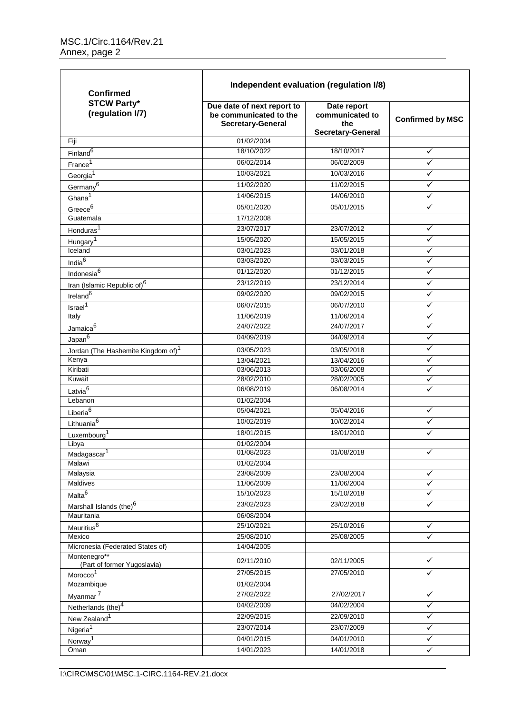| <b>Confirmed</b>                                  | Independent evaluation (regulation I/8)                                          |                                                                   |                         |  |
|---------------------------------------------------|----------------------------------------------------------------------------------|-------------------------------------------------------------------|-------------------------|--|
| <b>STCW Party*</b><br>(regulation I/7)            | Due date of next report to<br>be communicated to the<br><b>Secretary-General</b> | Date report<br>communicated to<br>the<br><b>Secretary-General</b> | <b>Confirmed by MSC</b> |  |
| Fiji                                              | 01/02/2004                                                                       |                                                                   |                         |  |
| Finland <sup>6</sup>                              | 18/10/2022                                                                       | 18/10/2017                                                        | $\checkmark$            |  |
| Erance <sup>1</sup>                               | 06/02/2014                                                                       | 06/02/2009                                                        | $\checkmark$            |  |
| Georgia <sup>1</sup>                              | 10/03/2021                                                                       | 10/03/2016                                                        | ✓                       |  |
| $Germany^6$                                       | 11/02/2020                                                                       | 11/02/2015                                                        | ✓                       |  |
| Ghana <sup>1</sup>                                | 14/06/2015                                                                       | 14/06/2010                                                        | ✓                       |  |
| Greece $6$                                        | 05/01/2020                                                                       | 05/01/2015                                                        | ✓                       |  |
| Guatemala                                         | 17/12/2008                                                                       |                                                                   |                         |  |
| Honduras <sup>1</sup>                             | 23/07/2017                                                                       | 23/07/2012                                                        | ✓                       |  |
| Hungary <sup>1</sup>                              | 15/05/2020                                                                       | 15/05/2015                                                        | ✓                       |  |
| Iceland                                           | 03/01/2023                                                                       | 03/01/2018                                                        | ✓                       |  |
| India <sup>6</sup>                                | 03/03/2020                                                                       | 03/03/2015                                                        | ✓                       |  |
| Indonesia <sup>6</sup>                            | 01/12/2020                                                                       | 01/12/2015                                                        | ✓                       |  |
| Iran (Islamic Republic of) <sup>6</sup>           | 23/12/2019                                                                       | 23/12/2014                                                        | ✓                       |  |
| Ireland <sup>6</sup>                              | 09/02/2020                                                                       | 09/02/2015                                                        | ✓                       |  |
| Israel <sup>1</sup>                               | 06/07/2015                                                                       | 06/07/2010                                                        | ✓                       |  |
| Italy                                             | 11/06/2019                                                                       | 11/06/2014                                                        | ✓                       |  |
| Jamaica <sup>6</sup>                              | 24/07/2022                                                                       | 24/07/2017                                                        | ✓                       |  |
| Japan $\overline{6}$                              | 04/09/2019                                                                       | 04/09/2014                                                        | ✓                       |  |
| Jordan (The Hashemite Kingdom of) <sup>1</sup>    | 03/05/2023                                                                       | 03/05/2018                                                        | ✓                       |  |
| Kenya                                             | 13/04/2021                                                                       | 13/04/2016                                                        | ✓                       |  |
| Kiribati                                          | 03/06/2013                                                                       | 03/06/2008                                                        | ✓                       |  |
| Kuwait                                            | 28/02/2010                                                                       | 28/02/2005                                                        | ✓                       |  |
| Latvia <sup>6</sup>                               | 06/08/2019                                                                       | 06/08/2014                                                        | ✓                       |  |
| Lebanon                                           | 01/02/2004                                                                       |                                                                   |                         |  |
| Liberia <sup>6</sup>                              | 05/04/2021                                                                       | 05/04/2016                                                        | ✓                       |  |
| Lithuania <sup>6</sup>                            | 10/02/2019                                                                       | 10/02/2014                                                        | ✓                       |  |
| Luxembourg <sup>1</sup>                           | 18/01/2015                                                                       | 18/01/2010                                                        | ✓                       |  |
| Libya                                             | 01/02/2004                                                                       |                                                                   |                         |  |
| Madagascar <sup>1</sup>                           | 01/08/2023                                                                       | 01/08/2018                                                        |                         |  |
| Malawi                                            | 01/02/2004                                                                       |                                                                   |                         |  |
| Malaysia<br>Maldives                              | 23/08/2009<br>11/06/2009                                                         | 23/08/2004<br>11/06/2004                                          | ✓<br>$\checkmark$       |  |
|                                                   | 15/10/2023                                                                       | 15/10/2018                                                        | ✓                       |  |
| Malta <sup>6</sup>                                | 23/02/2023                                                                       | 23/02/2018                                                        | ✓                       |  |
| Marshall Islands (the) <sup>6</sup><br>Mauritania | 06/08/2004                                                                       |                                                                   |                         |  |
| Mauritius <sup>6</sup>                            | 25/10/2021                                                                       | 25/10/2016                                                        | ✓                       |  |
| Mexico                                            | 25/08/2010                                                                       | 25/08/2005                                                        | ✓                       |  |
| Micronesia (Federated States of)                  | 14/04/2005                                                                       |                                                                   |                         |  |
| Montenegro**<br>(Part of former Yugoslavia)       | 02/11/2010                                                                       | 02/11/2005                                                        | $\checkmark$            |  |
| Morocco <sup>1</sup>                              | 27/05/2015                                                                       | 27/05/2010                                                        | ✓                       |  |
| Mozambique                                        | 01/02/2004                                                                       |                                                                   |                         |  |
| Myanmar <sup>7</sup>                              | 27/02/2022                                                                       | 27/02/2017                                                        | $\checkmark$            |  |
| Netherlands (the) <sup>4</sup>                    | 04/02/2009                                                                       | 04/02/2004                                                        | ✓                       |  |
| New Zealand <sup>1</sup>                          | 22/09/2015                                                                       | 22/09/2010                                                        | ✓                       |  |
| Nigeria <sup>1</sup>                              | 23/07/2014                                                                       | 23/07/2009                                                        | ✓                       |  |
| Norway <sup>1</sup>                               | 04/01/2015                                                                       | 04/01/2010                                                        | ✓                       |  |
| Oman                                              | 14/01/2023                                                                       | 14/01/2018                                                        | ✓                       |  |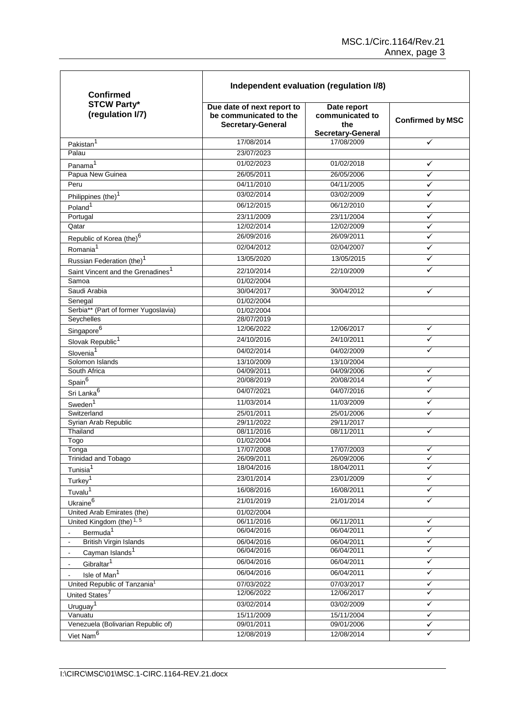| <b>Confirmed</b><br><b>STCW Party*</b><br>(regulation I/7) | Independent evaluation (regulation I/8)                                          |                                                            |                         |  |
|------------------------------------------------------------|----------------------------------------------------------------------------------|------------------------------------------------------------|-------------------------|--|
|                                                            | Due date of next report to<br>be communicated to the<br><b>Secretary-General</b> | Date report<br>communicated to<br>the<br>Secretary-General | <b>Confirmed by MSC</b> |  |
| Pakistan <sup>1</sup>                                      | 17/08/2014                                                                       | 17/08/2009                                                 | $\checkmark$            |  |
| Palau                                                      | 23/07/2023                                                                       |                                                            |                         |  |
| Panama <sup>1</sup>                                        | 01/02/2023                                                                       | 01/02/2018                                                 | ✓                       |  |
| Papua New Guinea                                           | 26/05/2011                                                                       | 26/05/2006                                                 | ✓                       |  |
| Peru                                                       | 04/11/2010                                                                       | 04/11/2005                                                 | ✓                       |  |
| Philippines (the) <sup>1</sup>                             | 03/02/2014                                                                       | 03/02/2009                                                 |                         |  |
| Poland <sup>1</sup>                                        | 06/12/2015                                                                       | 06/12/2010                                                 | ✓                       |  |
| Portugal                                                   | 23/11/2009                                                                       | 23/11/2004                                                 |                         |  |
| Qatar                                                      | 12/02/2014                                                                       |                                                            | ✓<br>✓                  |  |
|                                                            |                                                                                  | 12/02/2009                                                 | ✓                       |  |
| Republic of Korea (the) <sup>6</sup>                       | 26/09/2016                                                                       | 26/09/2011                                                 |                         |  |
| Romania <sup>1</sup>                                       | 02/04/2012                                                                       | 02/04/2007                                                 | ✓                       |  |
| Russian Federation (the) <sup>1</sup>                      | 13/05/2020                                                                       | 13/05/2015                                                 | ✓                       |  |
| Saint Vincent and the Grenadines <sup>1</sup>              | 22/10/2014                                                                       | 22/10/2009                                                 | ✓                       |  |
| Samoa                                                      | 01/02/2004                                                                       |                                                            |                         |  |
| Saudi Arabia                                               | 30/04/2017                                                                       | 30/04/2012                                                 | ✓                       |  |
| Senegal                                                    | 01/02/2004                                                                       |                                                            |                         |  |
| Serbia** (Part of former Yugoslavia)                       | 01/02/2004                                                                       |                                                            |                         |  |
| Seychelles                                                 | 28/07/2019                                                                       |                                                            |                         |  |
| Singapore <sup>6</sup>                                     | 12/06/2022                                                                       | 12/06/2017                                                 | ✓                       |  |
| Slovak Republic <sup>1</sup>                               | 24/10/2016                                                                       | 24/10/2011                                                 | ✓                       |  |
| Slovenia <sup>1</sup>                                      | 04/02/2014                                                                       | 04/02/2009                                                 | ✓                       |  |
| Solomon Islands                                            | 13/10/2009                                                                       | 13/10/2004                                                 |                         |  |
| South Africa                                               | 04/09/2011                                                                       | 04/09/2006                                                 | ✓                       |  |
| Spain <sup>6</sup>                                         | 20/08/2019                                                                       | 20/08/2014                                                 |                         |  |
| Sri Lanka <sup>6</sup>                                     | 04/07/2021                                                                       | 04/07/2016                                                 | ✓                       |  |
| Sweden <sup>1</sup>                                        | 11/03/2014                                                                       | 11/03/2009                                                 | ✓                       |  |
| Switzerland                                                | 25/01/2011                                                                       | 25/01/2006                                                 | ✓                       |  |
| Syrian Arab Republic                                       | 29/11/2022                                                                       | 29/11/2017                                                 |                         |  |
| Thailand                                                   | 08/11/2016                                                                       | 08/11/2011                                                 | ✓                       |  |
| Togo                                                       | 01/02/2004                                                                       |                                                            |                         |  |
| Tonga                                                      | 17/07/2008                                                                       | 17/07/2003                                                 | v                       |  |
| Trinidad and Tobago                                        | 26/09/2011                                                                       | 26/09/2006                                                 | ✓                       |  |
| Tunisia <sup>1</sup>                                       | 18/04/2016                                                                       | 18/04/2011                                                 | ✓                       |  |
| Turkey <sup>1</sup>                                        | 23/01/2014                                                                       | 23/01/2009                                                 | ✓                       |  |
| Tuvalu <sup>1</sup>                                        | 16/08/2016                                                                       | 16/08/2011                                                 | ✓                       |  |
| Ukraine <sup>6</sup>                                       | 21/01/2019                                                                       | 21/01/2014                                                 | ✓                       |  |
| United Arab Emirates (the)                                 | 01/02/2004                                                                       |                                                            |                         |  |
| United Kingdom (the) $\overline{1,5}$                      | 06/11/2016                                                                       | 06/11/2011                                                 | ✓                       |  |
| Bermuda <sup>1</sup>                                       | 06/04/2016                                                                       | 06/04/2011                                                 | ✓                       |  |
| <b>British Virgin Islands</b><br>$\blacksquare$            | 06/04/2016                                                                       | 06/04/2011                                                 | ✓                       |  |
| Cayman Islands <sup>1</sup><br>$\blacksquare$              | 06/04/2016                                                                       | 06/04/2011                                                 |                         |  |
| Gibraltar <sup>1</sup>                                     | 06/04/2016                                                                       | 06/04/2011                                                 | ✓                       |  |
| $\blacksquare$                                             | 06/04/2016                                                                       | 06/04/2011                                                 | ✓                       |  |
| Isle of Man <sup>1</sup><br>$\blacksquare$                 | 07/03/2022                                                                       | 07/03/2017                                                 | ✓                       |  |
| United Republic of Tanzania <sup>1</sup>                   | 12/06/2022                                                                       | 12/06/2017                                                 |                         |  |
| United States <sup>7</sup>                                 |                                                                                  |                                                            |                         |  |
| Uruguay <sup>1</sup>                                       | 03/02/2014                                                                       | 03/02/2009                                                 | ✓                       |  |
| Vanuatu                                                    | 15/11/2009                                                                       | 15/11/2004                                                 | ✓                       |  |
| Venezuela (Bolivarian Republic of)                         | 09/01/2011                                                                       | 09/01/2006                                                 | ✓                       |  |
| Viet Nam <sup>6</sup>                                      | 12/08/2019                                                                       | 12/08/2014                                                 | ✓                       |  |